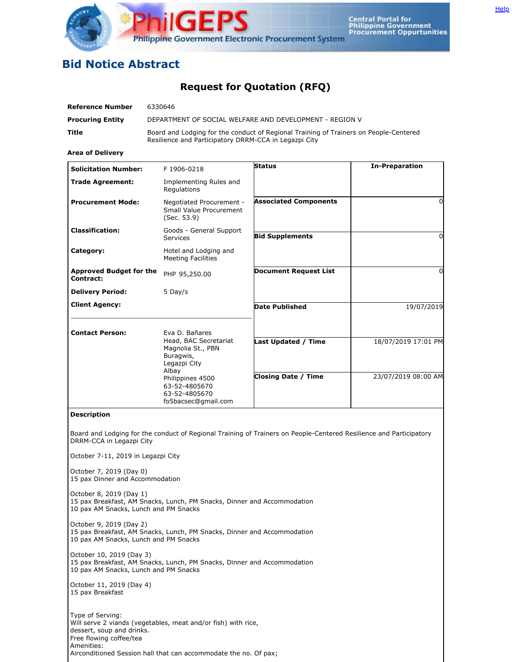

## **Bid Notice Abstract**

## **Request for Quotation (RFQ)**

| <b>Reference Number</b>                                                                | 6330646                                                                                                                                        |                                                                                                                    |                       |
|----------------------------------------------------------------------------------------|------------------------------------------------------------------------------------------------------------------------------------------------|--------------------------------------------------------------------------------------------------------------------|-----------------------|
| <b>Procuring Entity</b>                                                                | DEPARTMENT OF SOCIAL WELFARE AND DEVELOPMENT - REGION V                                                                                        |                                                                                                                    |                       |
| Title                                                                                  | Board and Lodging for the conduct of Regional Training of Trainers on People-Centered<br>Resilience and Participatory DRRM-CCA in Legazpi City |                                                                                                                    |                       |
| <b>Area of Delivery</b>                                                                |                                                                                                                                                |                                                                                                                    |                       |
| <b>Solicitation Number:</b>                                                            | F 1906-0218                                                                                                                                    | <b>Status</b>                                                                                                      | <b>In-Preparation</b> |
| <b>Trade Agreement:</b>                                                                | Implementing Rules and<br>Regulations                                                                                                          |                                                                                                                    |                       |
| <b>Procurement Mode:</b>                                                               | Negotiated Procurement -<br>Small Value Procurement<br>(Sec. 53.9)                                                                             | <b>Associated Components</b>                                                                                       | $\Omega$              |
| <b>Classification:</b>                                                                 | Goods - General Support<br><b>Services</b>                                                                                                     | <b>Bid Supplements</b>                                                                                             | $\Omega$              |
| Category:                                                                              | Hotel and Lodging and<br><b>Meeting Facilities</b>                                                                                             |                                                                                                                    |                       |
| <b>Approved Budget for the</b><br>Contract:                                            | PHP 95,250.00                                                                                                                                  | <b>Document Request List</b>                                                                                       | $\Omega$              |
| <b>Delivery Period:</b>                                                                | 5 Day/s                                                                                                                                        |                                                                                                                    |                       |
| <b>Client Agency:</b>                                                                  |                                                                                                                                                | <b>Date Published</b>                                                                                              | 19/07/2019            |
| <b>Contact Person:</b>                                                                 | Eva D. Bañares<br>Head, BAC Secretariat<br>Magnolia St., PBN<br>Buragwis,<br>Legazpi City                                                      | Last Updated / Time                                                                                                | 18/07/2019 17:01 PM   |
|                                                                                        | Albay<br>Philippines 4500<br>63-52-4805670<br>63-52-4805670<br>fo5bacsec@gmail.com                                                             | <b>Closing Date / Time</b>                                                                                         | 23/07/2019 08:00 AM   |
| <b>Description</b>                                                                     |                                                                                                                                                |                                                                                                                    |                       |
| DRRM-CCA in Legazpi City                                                               |                                                                                                                                                | Board and Lodging for the conduct of Regional Training of Trainers on People-Centered Resilience and Participatory |                       |
| October 7-11, 2019 in Legazpi City                                                     |                                                                                                                                                |                                                                                                                    |                       |
| October 7, 2019 (Day 0)<br>15 pax Dinner and Accommodation                             |                                                                                                                                                |                                                                                                                    |                       |
| October 8, 2019 (Day 1)<br>10 pax AM Snacks, Lunch and PM Snacks                       | 15 pax Breakfast, AM Snacks, Lunch, PM Snacks, Dinner and Accommodation                                                                        |                                                                                                                    |                       |
| October 9, 2019 (Day 2)<br>10 pax AM Snacks, Lunch and PM Snacks                       | 15 pax Breakfast, AM Snacks, Lunch, PM Snacks, Dinner and Accommodation                                                                        |                                                                                                                    |                       |
| October 10, 2019 (Day 3)<br>10 pax AM Snacks, Lunch and PM Snacks                      | 15 pax Breakfast, AM Snacks, Lunch, PM Snacks, Dinner and Accommodation                                                                        |                                                                                                                    |                       |
| October 11, 2019 (Day 4)<br>15 pax Breakfast                                           |                                                                                                                                                |                                                                                                                    |                       |
| Type of Serving:<br>dessert, soup and drinks.<br>Free flowing coffee/tea<br>Amenities: | Will serve 2 viands (vegetables, meat and/or fish) with rice,                                                                                  |                                                                                                                    |                       |

Airconditioned Session hall that can accommodate the no. Of pax;